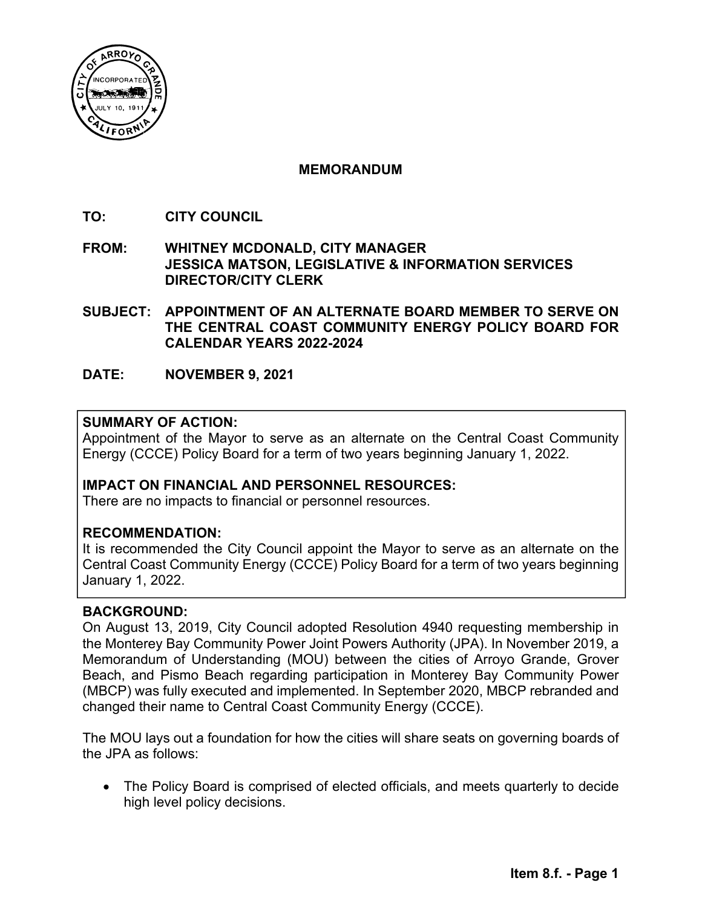

## **MEMORANDUM**

- **TO: CITY COUNCIL**
- **FROM: WHITNEY MCDONALD, CITY MANAGER JESSICA MATSON, LEGISLATIVE & INFORMATION SERVICES DIRECTOR/CITY CLERK**
- **SUBJECT: APPOINTMENT OF AN ALTERNATE BOARD MEMBER TO SERVE ON THE CENTRAL COAST COMMUNITY ENERGY POLICY BOARD FOR CALENDAR YEARS 2022-2024**
- **DATE: NOVEMBER 9, 2021**

## **SUMMARY OF ACTION:**

Appointment of the Mayor to serve as an alternate on the Central Coast Community Energy (CCCE) Policy Board for a term of two years beginning January 1, 2022.

### **IMPACT ON FINANCIAL AND PERSONNEL RESOURCES:**

There are no impacts to financial or personnel resources.

### **RECOMMENDATION:**

It is recommended the City Council appoint the Mayor to serve as an alternate on the Central Coast Community Energy (CCCE) Policy Board for a term of two years beginning January 1, 2022.

### **BACKGROUND:**

On August 13, 2019, City Council adopted Resolution 4940 requesting membership in the Monterey Bay Community Power Joint Powers Authority (JPA). In November 2019, a Memorandum of Understanding (MOU) between the cities of Arroyo Grande, Grover Beach, and Pismo Beach regarding participation in Monterey Bay Community Power (MBCP) was fully executed and implemented. In September 2020, MBCP rebranded and changed their name to Central Coast Community Energy (CCCE).

The MOU lays out a foundation for how the cities will share seats on governing boards of the JPA as follows:

 The Policy Board is comprised of elected officials, and meets quarterly to decide high level policy decisions.